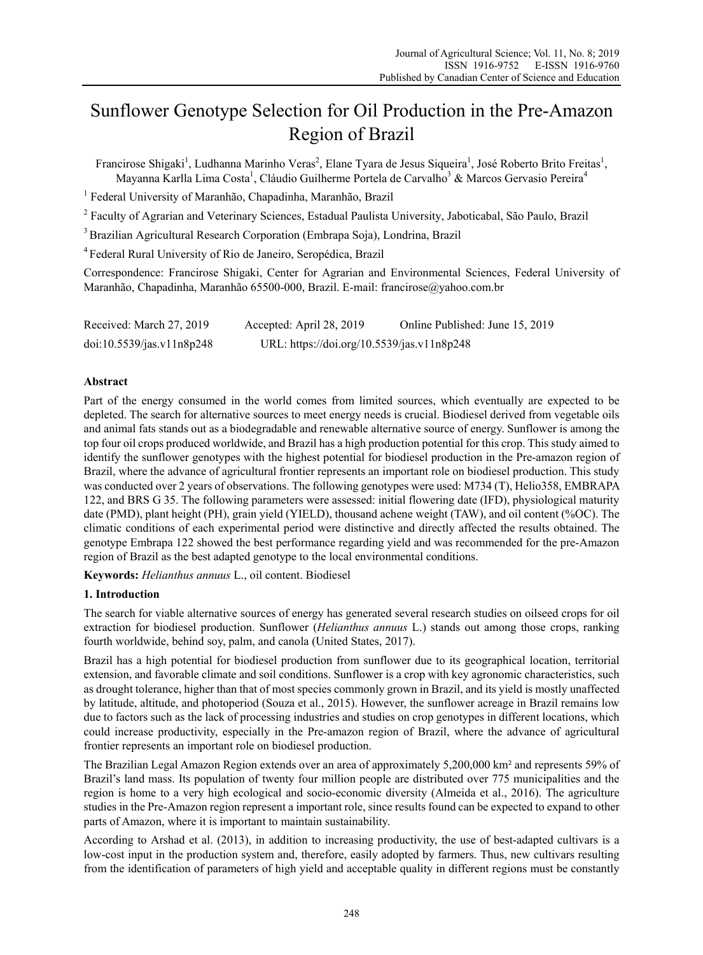# Sunflower Genotype Selection for Oil Production in the Pre-Amazon Region of Brazil

Francirose Shigaki<sup>1</sup>, Ludhanna Marinho Veras<sup>2</sup>, Elane Tyara de Jesus Siqueira<sup>1</sup>, José Roberto Brito Freitas<sup>1</sup>, Mayanna Karlla Lima Costa<sup>1</sup>, Cláudio Guilherme Portela de Carvalho<sup>3</sup> & Marcos Gervasio Pereira<sup>4</sup>

<sup>1</sup> Federal University of Maranhão, Chapadinha, Maranhão, Brazil

<sup>2</sup> Faculty of Agrarian and Veterinary Sciences, Estadual Paulista University, Jaboticabal, São Paulo, Brazil

3 Brazilian Agricultural Research Corporation (Embrapa Soja), Londrina, Brazil

4 Federal Rural University of Rio de Janeiro, Seropédica, Brazil

Correspondence: Francirose Shigaki, Center for Agrarian and Environmental Sciences, Federal University of Maranhão, Chapadinha, Maranhão 65500-000, Brazil. E-mail: francirose@yahoo.com.br

| Received: March 27, 2019  | Accepted: April 28, 2019                   | Online Published: June 15, 2019 |
|---------------------------|--------------------------------------------|---------------------------------|
| doi:10.5539/jas.v11n8p248 | URL: https://doi.org/10.5539/jas.v11n8p248 |                                 |

# **Abstract**

Part of the energy consumed in the world comes from limited sources, which eventually are expected to be depleted. The search for alternative sources to meet energy needs is crucial. Biodiesel derived from vegetable oils and animal fats stands out as a biodegradable and renewable alternative source of energy. Sunflower is among the top four oil crops produced worldwide, and Brazil has a high production potential for this crop. This study aimed to identify the sunflower genotypes with the highest potential for biodiesel production in the Pre-amazon region of Brazil, where the advance of agricultural frontier represents an important role on biodiesel production. This study was conducted over 2 years of observations. The following genotypes were used: M734 (T), Helio358, EMBRAPA 122, and BRS G 35. The following parameters were assessed: initial flowering date (IFD), physiological maturity date (PMD), plant height (PH), grain yield (YIELD), thousand achene weight (TAW), and oil content (%OC). The climatic conditions of each experimental period were distinctive and directly affected the results obtained. The genotype Embrapa 122 showed the best performance regarding yield and was recommended for the pre-Amazon region of Brazil as the best adapted genotype to the local environmental conditions.

**Keywords:** *Helianthus annuus* L., oil content. Biodiesel

# **1. Introduction**

The search for viable alternative sources of energy has generated several research studies on oilseed crops for oil extraction for biodiesel production. Sunflower (*Helianthus annuus* L.) stands out among those crops, ranking fourth worldwide, behind soy, palm, and canola (United States, 2017).

Brazil has a high potential for biodiesel production from sunflower due to its geographical location, territorial extension, and favorable climate and soil conditions. Sunflower is a crop with key agronomic characteristics, such as drought tolerance, higher than that of most species commonly grown in Brazil, and its yield is mostly unaffected by latitude, altitude, and photoperiod (Souza et al., 2015). However, the sunflower acreage in Brazil remains low due to factors such as the lack of processing industries and studies on crop genotypes in different locations, which could increase productivity, especially in the Pre-amazon region of Brazil, where the advance of agricultural frontier represents an important role on biodiesel production.

The Brazilian Legal Amazon Region extends over an area of approximately 5,200,000 km² and represents 59% of Brazil's land mass. Its population of twenty four million people are distributed over 775 municipalities and the region is home to a very high ecological and socio-economic diversity (Almeida et al., 2016). The agriculture studies in the Pre-Amazon region represent a important role, since results found can be expected to expand to other parts of Amazon, where it is important to maintain sustainability.

According to Arshad et al. (2013), in addition to increasing productivity, the use of best-adapted cultivars is a low-cost input in the production system and, therefore, easily adopted by farmers. Thus, new cultivars resulting from the identification of parameters of high yield and acceptable quality in different regions must be constantly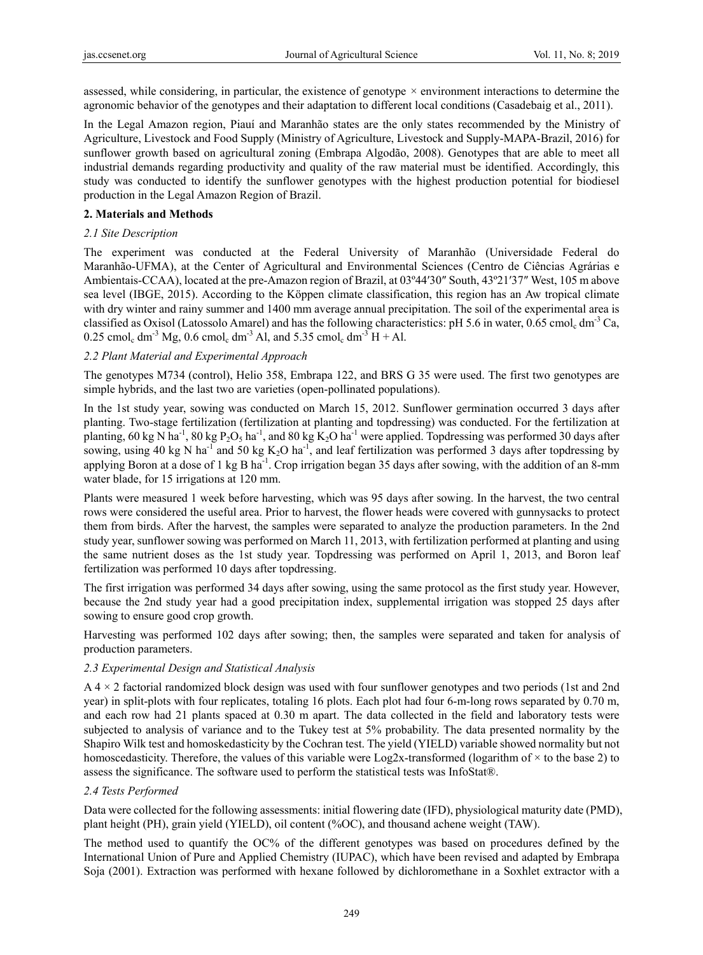assessed, while considering, in particular, the existence of genotype  $\times$  environment interactions to determine the agronomic behavior of the genotypes and their adaptation to different local conditions (Casadebaig et al., 2011).

In the Legal Amazon region, Piauí and Maranhão states are the only states recommended by the Ministry of Agriculture, Livestock and Food Supply (Ministry of Agriculture, Livestock and Supply-MAPA-Brazil, 2016) for sunflower growth based on agricultural zoning (Embrapa Algodão, 2008). Genotypes that are able to meet all industrial demands regarding productivity and quality of the raw material must be identified. Accordingly, this study was conducted to identify the sunflower genotypes with the highest production potential for biodiesel production in the Legal Amazon Region of Brazil.

## **2. Materials and Methods**

## *2.1 Site Description*

The experiment was conducted at the Federal University of Maranhão (Universidade Federal do Maranhão-UFMA), at the Center of Agricultural and Environmental Sciences (Centro de Ciências Agrárias e Ambientais-CCAA), located at the pre-Amazon region of Brazil, at 03º44′30″ South, 43º21′37″ West, 105 m above sea level (IBGE, 2015). According to the Köppen climate classification, this region has an Aw tropical climate with dry winter and rainy summer and 1400 mm average annual precipitation. The soil of the experimental area is classified as Oxisol (Latossolo Amarel) and has the following characteristics: pH 5.6 in water, 0.65 cmol<sub>c</sub> dm<sup>-3</sup> Ca, 0.25 cmol<sub>c</sub> dm<sup>-3</sup> Mg, 0.6 cmol<sub>c</sub> dm<sup>-3</sup> Al, and 5.35 cmol<sub>c</sub> dm<sup>-3</sup> H + Al.

## *2.2 Plant Material and Experimental Approach*

The genotypes M734 (control), Helio 358, Embrapa 122, and BRS G 35 were used. The first two genotypes are simple hybrids, and the last two are varieties (open-pollinated populations).

In the 1st study year, sowing was conducted on March 15, 2012. Sunflower germination occurred 3 days after planting. Two-stage fertilization (fertilization at planting and topdressing) was conducted. For the fertilization at planting, 60 kg N ha<sup>-1</sup>, 80 kg P<sub>2</sub>O<sub>5</sub> ha<sup>-1</sup>, and 80 kg K<sub>2</sub>O ha<sup>-1</sup> were applied. Topdressing was performed 30 days after sowing, using 40 kg N ha<sup>-1</sup> and 50 kg K<sub>2</sub>O ha<sup>-1</sup>, and leaf fertilization was performed 3 days after topdressing by applying Boron at a dose of 1 kg B ha<sup>-1</sup>. Crop irrigation began 35 days after sowing, with the addition of an 8-mm water blade, for 15 irrigations at 120 mm.

Plants were measured 1 week before harvesting, which was 95 days after sowing. In the harvest, the two central rows were considered the useful area. Prior to harvest, the flower heads were covered with gunnysacks to protect them from birds. After the harvest, the samples were separated to analyze the production parameters. In the 2nd study year, sunflower sowing was performed on March 11, 2013, with fertilization performed at planting and using the same nutrient doses as the 1st study year. Topdressing was performed on April 1, 2013, and Boron leaf fertilization was performed 10 days after topdressing.

The first irrigation was performed 34 days after sowing, using the same protocol as the first study year. However, because the 2nd study year had a good precipitation index, supplemental irrigation was stopped 25 days after sowing to ensure good crop growth.

Harvesting was performed 102 days after sowing; then, the samples were separated and taken for analysis of production parameters.

# *2.3 Experimental Design and Statistical Analysis*

 $A$  4  $\times$  2 factorial randomized block design was used with four sunflower genotypes and two periods (1st and 2nd) year) in split-plots with four replicates, totaling 16 plots. Each plot had four 6-m-long rows separated by 0.70 m, and each row had 21 plants spaced at 0.30 m apart. The data collected in the field and laboratory tests were subjected to analysis of variance and to the Tukey test at 5% probability. The data presented normality by the Shapiro Wilk test and homoskedasticity by the Cochran test. The yield (YIELD) variable showed normality but not homoscedasticity. Therefore, the values of this variable were  $Log2x$ -transformed (logarithm of  $\times$  to the base 2) to assess the significance. The software used to perform the statistical tests was InfoStat®.

# *2.4 Tests Performed*

Data were collected for the following assessments: initial flowering date (IFD), physiological maturity date (PMD), plant height (PH), grain yield (YIELD), oil content (%OC), and thousand achene weight (TAW).

The method used to quantify the OC% of the different genotypes was based on procedures defined by the International Union of Pure and Applied Chemistry (IUPAC), which have been revised and adapted by Embrapa Soja (2001). Extraction was performed with hexane followed by dichloromethane in a Soxhlet extractor with a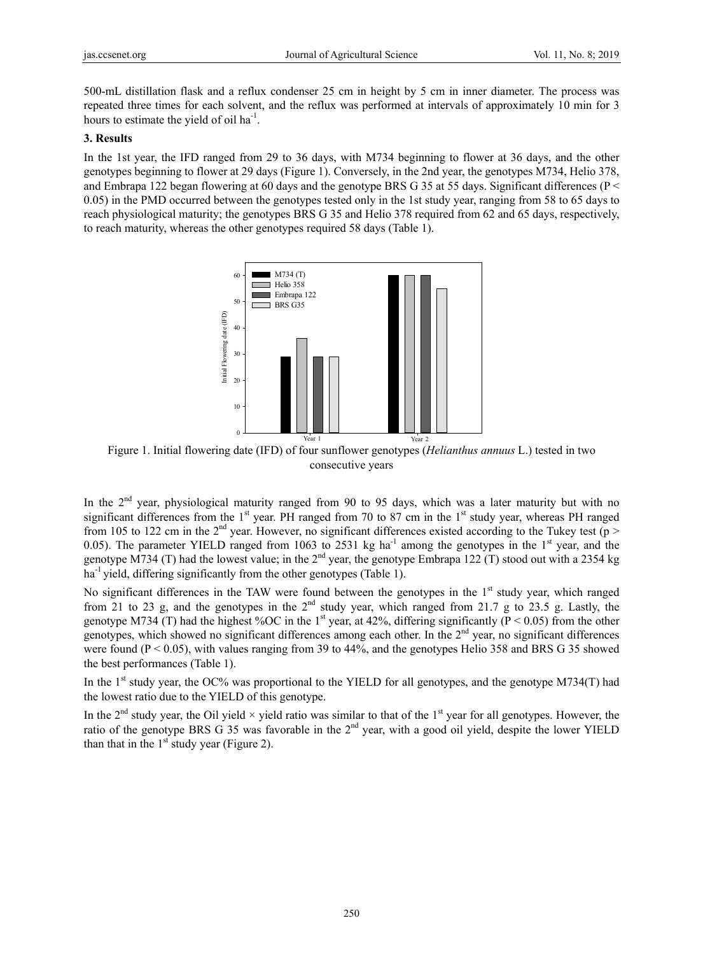500-mL distillation flask and a reflux condenser 25 cm in height by 5 cm in inner diameter. The process was repeated three times for each solvent, and the reflux was performed at intervals of approximately 10 min for 3 hours to estimate the yield of oil  $ha^{-1}$ .

### **3. Results**

In the 1st year, the IFD ranged from 29 to 36 days, with M734 beginning to flower at 36 days, and the other genotypes beginning to flower at 29 days (Figure 1). Conversely, in the 2nd year, the genotypes M734, Helio 378, and Embrapa 122 began flowering at 60 days and the genotype BRS G 35 at 55 days. Significant differences (P < 0.05) in the PMD occurred between the genotypes tested only in the 1st study year, ranging from 58 to 65 days to reach physiological maturity; the genotypes BRS G 35 and Helio 378 required from 62 and 65 days, respectively, to reach maturity, whereas the other genotypes required 58 days (Table 1).



Figure 1. Initial flowering date (IFD) of four sunflower genotypes (*Helianthus annuus* L.) tested in two consecutive years

In the  $2<sup>nd</sup>$  vear, physiological maturity ranged from 90 to 95 days, which was a later maturity but with no significant differences from the 1<sup>st</sup> year. PH ranged from 70 to 87 cm in the 1<sup>st</sup> study year, whereas PH ranged from 105 to 122 cm in the 2<sup>nd</sup> year. However, no significant differences existed according to the Tukey test (p > 0.05). The parameter YIELD ranged from 1063 to 2531 kg ha<sup>-1</sup> among the genotypes in the 1<sup>st</sup> year, and the genotype M734 (T) had the lowest value; in the  $2^{nd}$  year, the genotype Embrapa 122 (T) stood out with a 2354 kg  $ha<sup>-1</sup>$  yield, differing significantly from the other genotypes (Table 1). Figure 1. Initial flowering date (IFE<br>
Figure 1. Initial flowering date (IFE<br>
In the 2<sup>nd</sup> year, physiological maturity<br>
significant differences from the 1<sup>st</sup> year.<br>
from 105 to 122 cm in the 2<sup>nd</sup> year. How<br>
0.05). The

No significant differences in the TAW were found between the genotypes in the  $1<sup>st</sup>$  study year, which ranged from 21 to 23 g, and the genotypes in the  $2<sup>nd</sup>$  study year, which ranged from 21.7 g to 23.5 g. Lastly, the genotype M734 (T) had the highest %OC in the 1<sup>st</sup> year, at 42%, differing significantly ( $P < 0.05$ ) from the other genotypes, which showed no significant differences among each other. In the 2<sup>nd</sup> year, no significant differences were found ( $P < 0.05$ ), with values ranging from 39 to 44%, and the genotypes Helio 358 and BRS G 35 showed the best performances (Table 1).

In the 1<sup>st</sup> study year, the OC% was proportional to the YIELD for all genotypes, and the genotype M734(T) had the lowest ratio due to the YIELD of this genotype.

In the 2<sup>nd</sup> study year, the Oil yield  $\times$  yield ratio was similar to that of the 1<sup>st</sup> year for all genotypes. However, the ratio of the genotype BRS G 35 was favorable in the 2<sup>nd</sup> year, with a good oil yield, despite the lower YIELD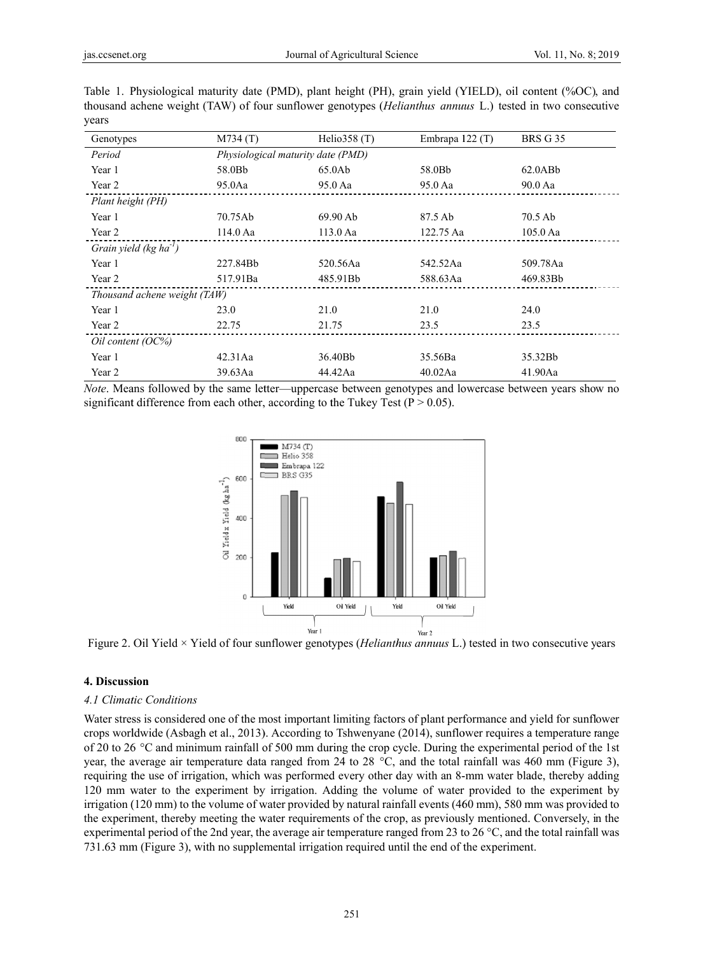| Genotypes                     | M734(T)    | Helio $358(T)$                    | Embrapa 122 (T) | <b>BRS G 35</b> |  |  |
|-------------------------------|------------|-----------------------------------|-----------------|-----------------|--|--|
| Period                        |            | Physiological maturity date (PMD) |                 |                 |  |  |
| Year 1                        | 58.0Bb     | 65.0Ab                            | 58.0Bb          | $62.0$ AB $b$   |  |  |
| Year 2                        | 95.0Aa     | 95.0 Aa                           | 95.0 Aa         | 90.0 Aa         |  |  |
| Plant height (PH)             |            |                                   |                 |                 |  |  |
| Year 1                        | 70.75Ab    | 69.90 Ab                          | 87.5 Ab         | 70.5 Ab         |  |  |
| Year 2                        | $114.0$ Aa | $113.0$ Aa                        | 122.75 Aa       | $105.0$ Aa      |  |  |
| Grain yield $(kg ha^{-1})$    |            |                                   |                 |                 |  |  |
| Year 1                        | 227.84Bb   | 520.56Aa                          | 542.52Aa        | 509.78Aa        |  |  |
| Year 2                        | 517.91Ba   | 485.91Bb                          | 588.63Aa        | 469.83Bb        |  |  |
| Thousand achene weight (TAW)  |            |                                   |                 |                 |  |  |
| Year 1                        | 23.0       | 21.0                              | 21.0            | 24.0            |  |  |
| Year 2                        | 22.75      | 21.75                             | 23.5            | 23.5            |  |  |
| $\frac{Oil\,content\,(OC\%)}$ |            |                                   |                 |                 |  |  |
| Year 1                        | $42.31$ Aa | 36.40Bb                           | 35.56Ba         | 35.32Bb         |  |  |
| Year 2                        | 39.63Aa    | 44.42Aa                           | 40.02Aa         | 41.90Aa         |  |  |

Table 1. Physiological maturity date (PMD), plant height (PH), grain yield (YIELD), oil content (%OC), and thousand achene weight (TAW) of four sunflower genotypes (*Helianthus annuus* L.) tested in two consecutive years

*Note*. Means followed by the same letter—uppercase between genotypes and lowercase between years show no significant difference from each other, according to the Tukey Test ( $P > 0.05$ ).



Figure 2. Oil Yield × Yield of four sunflower genotypes (*Helianthus annuus* L.) tested in two consecutive years

## **4. Discuss sion**

#### *4.1 Climat tic Conditions*

Water stress is considered one of the most important limiting factors of plant performance and yield for sunflower crops worldwide (Asbagh et al., 2013). According to Tshwenyane (2014), sunflower requires a temperature range of 20 to 26 °C and minimum rainfall of 500 mm during the crop cycle. During the experimental period of the 1st year, the average air temperature data ranged from 24 to 28  $^{\circ}$ C, and the total rainfall was 460 mm (Figure 3), requiring the use of irrigation, which was performed every other day with an 8-mm water blade, thereby adding 120 mm water to the experiment by irrigation. Adding the volume of water provided to the experiment by irrigation (120 mm) to the volume of water provided by natural rainfall events (460 mm), 580 mm was provided to the experiment, thereby meeting the water requirements of the crop, as previously mentioned. Conversely, in the experimental period of the 2nd year, the average air temperature ranged from 23 to 26  $\degree$ C, and the total rainfall was 731.63 mm (Figure 3), with no supplemental irrigation required until the end of the experiment.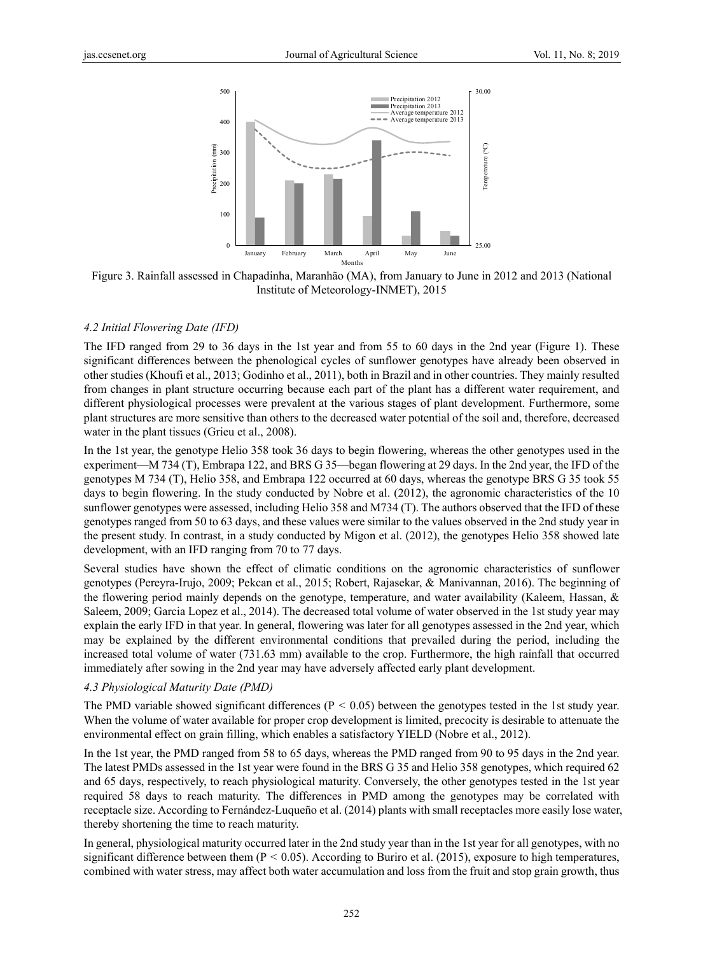



#### *4.2 Initial Flowering Date (IFD)*

The IFD ranged from 29 to 36 days in the 1st year and from 55 to 60 days in the 2nd year (Figure 1). These significant differences between the phenological cycles of sunflower genotypes have already been observed in other studies (Khoufi et al., 2013; Godinho et al., 2011), both in Brazil and in other countries. They mainly resulted from changes in plant structure occurring because each part of the plant has a different water requirement, and different physiological processes were prevalent at the various stages of plant development. Furthermore, some plant structures are more sensitive than others to the decreased water potential of the soil and, therefore, decreased water in the plant tissues (Grieu et al., 2008).

In the 1st year, the genotype Helio 358 took 36 days to begin flowering, whereas the other genotypes used in the experiment—M 734 (T), Embrapa 122, and BRS G 35—began flowering at 29 days. In the 2nd year, the IFD of the genotypes M 734 (T), Helio 358, and Embrapa 122 occurred at 60 days, whereas the genotype BRS G 35 took 55 days to begin flowering. In the study conducted by Nobre et al. (2012), the agronomic characteristics of the 10 sunflower genotypes were assessed, including Helio 358 and M734 (T). The authors observed that the IFD of these genotypes ranged from 50 to 63 days, and these values were similar to the values observed in the 2nd study year in the present study. In contrast, in a study conducted by Migon et al. (2012), the genotypes Helio 358 showed late development, with an IFD ranging from 70 to 77 days.

Several studies have shown the effect of climatic conditions on the agronomic characteristics of sunflower genotypes (Pereyra-Irujo, 2009; Pekcan et al., 2015; Robert, Rajasekar, & Manivannan, 2016). The beginning of the flowering period mainly depends on the genotype, temperature, and water availability (Kaleem, Hassan, & Saleem, 2009; Garcia Lopez et al., 2014). The decreased total volume of water observed in the 1st study year may explain the early IFD in that year. In general, flowering was later for all genotypes assessed in the 2nd year, which may be explained by the different environmental conditions that prevailed during the period, including the increased total volume of water (731.63 mm) available to the crop. Furthermore, the high rainfall that occurred immediately after sowing in the 2nd year may have adversely affected early plant development.

#### *4.3 Physiological Maturity Date (PMD)*

The PMD variable showed significant differences ( $P < 0.05$ ) between the genotypes tested in the 1st study year. When the volume of water available for proper crop development is limited, precocity is desirable to attenuate the environmental effect on grain filling, which enables a satisfactory YIELD (Nobre et al., 2012).

In the 1st year, the PMD ranged from 58 to 65 days, whereas the PMD ranged from 90 to 95 days in the 2nd year. The latest PMDs assessed in the 1st year were found in the BRS G 35 and Helio 358 genotypes, which required 62 and 65 days, respectively, to reach physiological maturity. Conversely, the other genotypes tested in the 1st year required 58 days to reach maturity. The differences in PMD among the genotypes may be correlated with receptacle size. According to Fernández-Luqueño et al. (2014) plants with small receptacles more easily lose water, thereby shortening the time to reach maturity.

In general, physiological maturity occurred later in the 2nd study year than in the 1st year for all genotypes, with no significant difference between them ( $P < 0.05$ ). According to Buriro et al. (2015), exposure to high temperatures, combined with water stress, may affect both water accumulation and loss from the fruit and stop grain growth, thus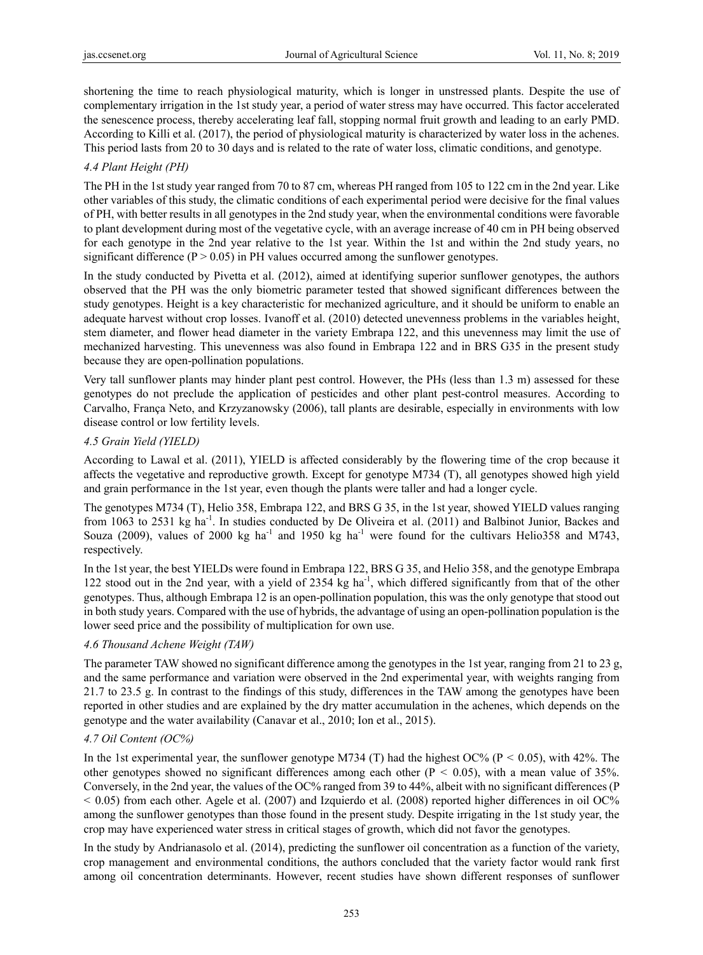shortening the time to reach physiological maturity, which is longer in unstressed plants. Despite the use of complementary irrigation in the 1st study year, a period of water stress may have occurred. This factor accelerated the senescence process, thereby accelerating leaf fall, stopping normal fruit growth and leading to an early PMD. According to Killi et al. (2017), the period of physiological maturity is characterized by water loss in the achenes. This period lasts from 20 to 30 days and is related to the rate of water loss, climatic conditions, and genotype.

# *4.4 Plant Height (PH)*

The PH in the 1st study year ranged from 70 to 87 cm, whereas PH ranged from 105 to 122 cm in the 2nd year. Like other variables of this study, the climatic conditions of each experimental period were decisive for the final values of PH, with better results in all genotypes in the 2nd study year, when the environmental conditions were favorable to plant development during most of the vegetative cycle, with an average increase of 40 cm in PH being observed for each genotype in the 2nd year relative to the 1st year. Within the 1st and within the 2nd study years, no significant difference ( $P > 0.05$ ) in PH values occurred among the sunflower genotypes.

In the study conducted by Pivetta et al. (2012), aimed at identifying superior sunflower genotypes, the authors observed that the PH was the only biometric parameter tested that showed significant differences between the study genotypes. Height is a key characteristic for mechanized agriculture, and it should be uniform to enable an adequate harvest without crop losses. Ivanoff et al. (2010) detected unevenness problems in the variables height, stem diameter, and flower head diameter in the variety Embrapa 122, and this unevenness may limit the use of mechanized harvesting. This unevenness was also found in Embrapa 122 and in BRS G35 in the present study because they are open-pollination populations.

Very tall sunflower plants may hinder plant pest control. However, the PHs (less than 1.3 m) assessed for these genotypes do not preclude the application of pesticides and other plant pest-control measures. According to Carvalho, França Neto, and Krzyzanowsky (2006), tall plants are desirable, especially in environments with low disease control or low fertility levels.

## *4.5 Grain Yield (YIELD)*

According to Lawal et al. (2011), YIELD is affected considerably by the flowering time of the crop because it affects the vegetative and reproductive growth. Except for genotype M734 (T), all genotypes showed high yield and grain performance in the 1st year, even though the plants were taller and had a longer cycle.

The genotypes M734 (T), Helio 358, Embrapa 122, and BRS G 35, in the 1st year, showed YIELD values ranging from 1063 to 2531 kg ha<sup>-1</sup>. In studies conducted by De Oliveira et al. (2011) and Balbinot Junior, Backes and Souza (2009), values of 2000 kg ha<sup>-1</sup> and 1950 kg ha<sup>-1</sup> were found for the cultivars Helio358 and M743, respectively.

In the 1st year, the best YIELDs were found in Embrapa 122, BRS G 35, and Helio 358, and the genotype Embrapa 122 stood out in the 2nd year, with a yield of  $2354$  kg ha<sup>-1</sup>, which differed significantly from that of the other genotypes. Thus, although Embrapa 12 is an open-pollination population, this was the only genotype that stood out in both study years. Compared with the use of hybrids, the advantage of using an open-pollination population is the lower seed price and the possibility of multiplication for own use.

# *4.6 Thousand Achene Weight (TAW)*

The parameter TAW showed no significant difference among the genotypes in the 1st year, ranging from 21 to 23 g, and the same performance and variation were observed in the 2nd experimental year, with weights ranging from 21.7 to 23.5 g. In contrast to the findings of this study, differences in the TAW among the genotypes have been reported in other studies and are explained by the dry matter accumulation in the achenes, which depends on the genotype and the water availability (Canavar et al., 2010; Ion et al., 2015).

# *4.7 Oil Content (OC%)*

In the 1st experimental year, the sunflower genotype M734 (T) had the highest OC% (P < 0.05), with 42%. The other genotypes showed no significant differences among each other ( $P < 0.05$ ), with a mean value of 35%. Conversely, in the 2nd year, the values of the OC% ranged from 39 to 44%, albeit with no significant differences (P  $<$  0.05) from each other. Agele et al. (2007) and Izquierdo et al. (2008) reported higher differences in oil OC% among the sunflower genotypes than those found in the present study. Despite irrigating in the 1st study year, the crop may have experienced water stress in critical stages of growth, which did not favor the genotypes.

In the study by Andrianasolo et al. (2014), predicting the sunflower oil concentration as a function of the variety, crop management and environmental conditions, the authors concluded that the variety factor would rank first among oil concentration determinants. However, recent studies have shown different responses of sunflower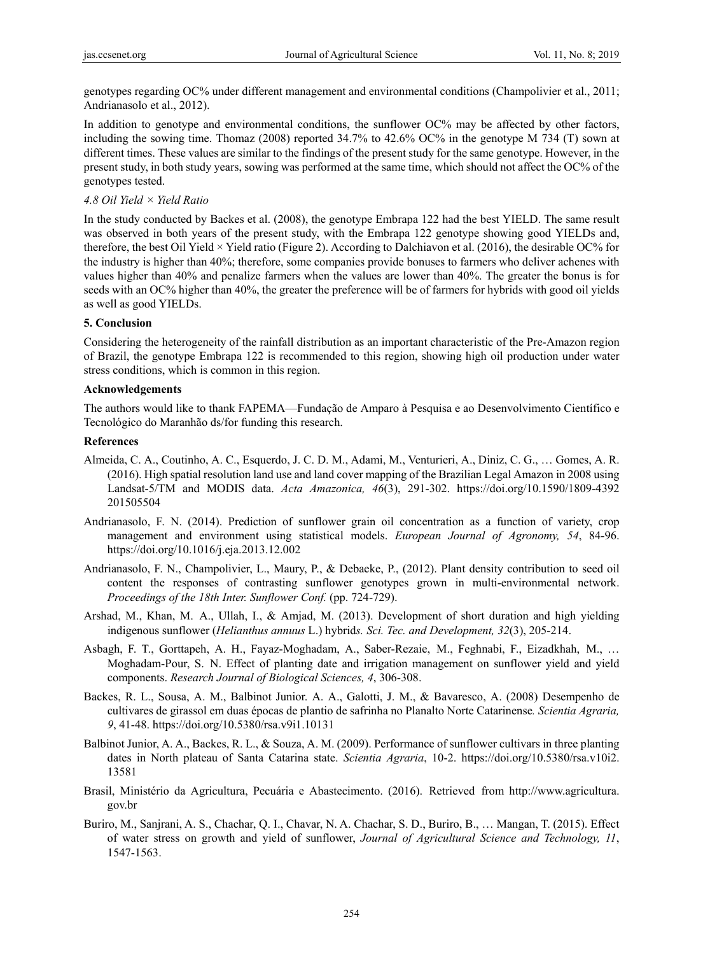genotypes regarding OC% under different management and environmental conditions (Champolivier et al., 2011; Andrianasolo et al., 2012).

In addition to genotype and environmental conditions, the sunflower OC% may be affected by other factors, including the sowing time. Thomaz (2008) reported 34.7% to 42.6% OC% in the genotype M 734 (T) sown at different times. These values are similar to the findings of the present study for the same genotype. However, in the present study, in both study years, sowing was performed at the same time, which should not affect the OC% of the genotypes tested.

## *4.8 Oil Yield × Yield Ratio*

In the study conducted by Backes et al. (2008), the genotype Embrapa 122 had the best YIELD. The same result was observed in both years of the present study, with the Embrapa 122 genotype showing good YIELDs and, therefore, the best Oil Yield  $\times$  Yield ratio (Figure 2). According to Dalchiavon et al. (2016), the desirable OC% for the industry is higher than 40%; therefore, some companies provide bonuses to farmers who deliver achenes with values higher than 40% and penalize farmers when the values are lower than 40%. The greater the bonus is for seeds with an OC% higher than 40%, the greater the preference will be of farmers for hybrids with good oil yields as well as good YIELDs.

## **5. Conclusion**

Considering the heterogeneity of the rainfall distribution as an important characteristic of the Pre-Amazon region of Brazil, the genotype Embrapa 122 is recommended to this region, showing high oil production under water stress conditions, which is common in this region.

## **Acknowledgements**

The authors would like to thank FAPEMA—Fundação de Amparo à Pesquisa e ao Desenvolvimento Científico e Tecnológico do Maranhão ds/for funding this research.

## **References**

- Almeida, C. A., Coutinho, A. C., Esquerdo, J. C. D. M., Adami, M., Venturieri, A., Diniz, C. G., … Gomes, A. R. (2016). High spatial resolution land use and land cover mapping of the Brazilian Legal Amazon in 2008 using Landsat-5/TM and MODIS data. *Acta Amazonica, 46*(3), 291-302. https://doi.org/10.1590/1809-4392 201505504
- Andrianasolo, F. N. (2014). Prediction of sunflower grain oil concentration as a function of variety, crop management and environment using statistical models. *European Journal of Agronomy, 54*, 84-96. https://doi.org/10.1016/j.eja.2013.12.002
- Andrianasolo, F. N., Champolivier, L., Maury, P., & Debaeke, P., (2012). Plant density contribution to seed oil content the responses of contrasting sunflower genotypes grown in multi-environmental network. *Proceedings of the 18th Inter. Sunflower Conf.* (pp. 724-729).
- Arshad, M., Khan, M. A., Ullah, I., & Amjad, M. (2013). Development of short duration and high yielding indigenous sunflower (*Helianthus annuus* L.) hybrid*s. Sci. Tec. and Development, 32*(3), 205-214.
- Asbagh, F. T., Gorttapeh, A. H., Fayaz-Moghadam, A., Saber-Rezaie, M., Feghnabi, F., Eizadkhah, M., … Moghadam-Pour, S. N. Effect of planting date and irrigation management on sunflower yield and yield components. *Research Journal of Biological Sciences, 4*, 306-308.
- Backes, R. L., Sousa, A. M., Balbinot Junior. A. A., Galotti, J. M., & Bavaresco, A. (2008) Desempenho de cultivares de girassol em duas épocas de plantio de safrinha no Planalto Norte Catarinense*. Scientia Agraria, 9*, 41-48. https://doi.org/10.5380/rsa.v9i1.10131
- Balbinot Junior, A. A., Backes, R. L., & Souza, A. M. (2009). Performance of sunflower cultivars in three planting dates in North plateau of Santa Catarina state. *Scientia Agraria*, 10-2. https://doi.org/10.5380/rsa.v10i2. 13581
- Brasil, Ministério da Agricultura, Pecuária e Abastecimento. (2016). Retrieved from http://www.agricultura. gov.br
- Buriro, M., Sanjrani, A. S., Chachar, Q. I., Chavar, N. A. Chachar, S. D., Buriro, B., … Mangan, T. (2015). Effect of water stress on growth and yield of sunflower, *Journal of Agricultural Science and Technology, 11*, 1547-1563.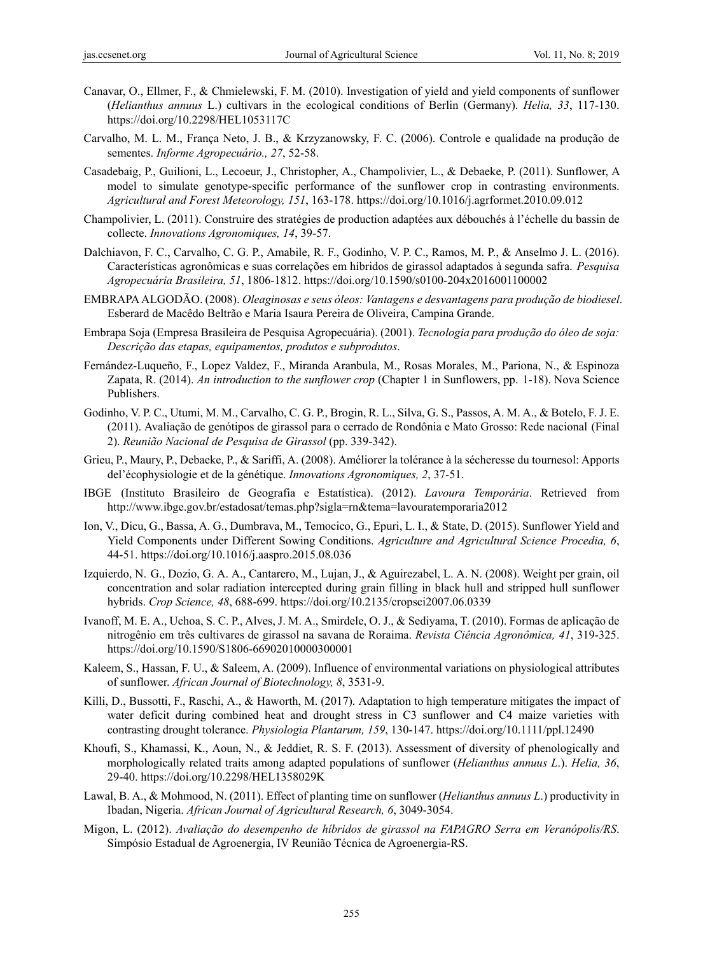- Canavar, O., Ellmer, F., & Chmielewski, F. M. (2010). Investigation of yield and yield components of sunflower (*Helianthus annuus* L.) cultivars in the ecological conditions of Berlin (Germany). *Helia, 33*, 117-130. https://doi.org/10.2298/HEL1053117C
- Carvalho, M. L. M., França Neto, J. B., & Krzyzanowsky, F. C. (2006). Controle e qualidade na produção de sementes. *Informe Agropecuário., 27*, 52-58.
- Casadebaig, P., Guilioni, L., Lecoeur, J., Christopher, A., Champolivier, L., & Debaeke, P. (2011). Sunflower, A model to simulate genotype-specific performance of the sunflower crop in contrasting environments. *Agricultural and Forest Meteorology, 151*, 163-178. https://doi.org/10.1016/j.agrformet.2010.09.012
- Champolivier, L. (2011). Construire des stratégies de production adaptées aux débouchés à l'échelle du bassin de collecte. *Innovations Agronomiques, 14*, 39-57.
- Dalchiavon, F. C., Carvalho, C. G. P., Amabile, R. F., Godinho, V. P. C., Ramos, M. P., & Anselmo J. L. (2016). Características agronômicas e suas correlações em híbridos de girassol adaptados à segunda safra. *Pesquisa Agropecuária Brasileira, 51*, 1806-1812. https://doi.org/10.1590/s0100-204x2016001100002
- EMBRAPA ALGODÃO. (2008). *Oleaginosas e seus óleos: Vantagens e desvantagens para produção de biodiesel*. Esberard de Macêdo Beltrão e Maria Isaura Pereira de Oliveira, Campina Grande.
- Embrapa Soja (Empresa Brasileira de Pesquisa Agropecuária). (2001). *Tecnologia para produção do óleo de soja: Descrição das etapas, equipamentos, produtos e subprodutos*.
- Fernández-Luqueño, F., Lopez Valdez, F., Miranda Aranbula, M., Rosas Morales, M., Pariona, N., & Espinoza Zapata, R. (2014). *An introduction to the sunflower crop* (Chapter 1 in Sunflowers, pp. 1-18). Nova Science Publishers.
- Godinho, V. P. C., Utumi, M. M., Carvalho, C. G. P., Brogin, R. L., Silva, G. S., Passos, A. M. A., & Botelo, F. J. E. (2011). Avaliação de genótipos de girassol para o cerrado de Rondônia e Mato Grosso: Rede nacional (Final 2). *Reunião Nacional de Pesquisa de Girassol* (pp. 339-342).
- Grieu, P., Maury, P., Debaeke, P., & Sariffi, A. (2008). Améliorer la tolérance à la sécheresse du tournesol: Apports del'écophysiologie et de la génétique. *Innovations Agronomiques, 2*, 37-51.
- IBGE (Instituto Brasileiro de Geografia e Estatística). (2012). *Lavoura Temporária*. Retrieved from http://www.ibge.gov.br/estadosat/temas.php?sigla=rn&tema=lavouratemporaria2012
- Ion, V., Dicu, G., Bassa, A. G., Dumbrava, M., Temocico, G., Epuri, L. I., & State, D. (2015). Sunflower Yield and Yield Components under Different Sowing Conditions. *Agriculture and Agricultural Science Procedia, 6*, 44-51. https://doi.org/10.1016/j.aaspro.2015.08.036
- Izquierdo, N. G., Dozio, G. A. A., Cantarero, M., Lujan, J., & Aguirezabel, L. A. N. (2008). Weight per grain, oil concentration and solar radiation intercepted during grain filling in black hull and stripped hull sunflower hybrids. *Crop Science, 48*, 688-699. https://doi.org/10.2135/cropsci2007.06.0339
- Ivanoff, M. E. A., Uchoa, S. C. P., Alves, J. M. A., Smirdele, O. J., & Sediyama, T. (2010). Formas de aplicação de nitrogênio em três cultivares de girassol na savana de Roraima. *Revista Ciência Agronômica, 41*, 319-325. https://doi.org/10.1590/S1806-66902010000300001
- Kaleem, S., Hassan, F. U., & Saleem, A. (2009). Influence of environmental variations on physiological attributes of sunflower. *African Journal of Biotechnology, 8*, 3531-9.
- Killi, D., Bussotti, F., Raschi, A., & Haworth, M. (2017). Adaptation to high temperature mitigates the impact of water deficit during combined heat and drought stress in C3 sunflower and C4 maize varieties with contrasting drought tolerance. *Physiologia Plantarum, 159*, 130-147. https://doi.org/10.1111/ppl.12490
- Khoufi, S., Khamassi, K., Aoun, N., & Jeddiet, R. S. F. (2013). Assessment of diversity of phenologically and morphologically related traits among adapted populations of sunflower (*Helianthus annuus L*.). *Helia, 36*, 29-40. https://doi.org/10.2298/HEL1358029K
- Lawal, B. A., & Mohmood, N. (2011). Effect of planting time on sunflower (*Helianthus annuus L*.) productivity in Ibadan, Nigeria. *African Journal of Agricultural Research, 6*, 3049-3054.
- Migon, L. (2012). *Avaliação do desempenho de híbridos de girassol na FAPAGRO Serra em Veranópolis/RS*. Simpósio Estadual de Agroenergia, IV Reunião Técnica de Agroenergia-RS.